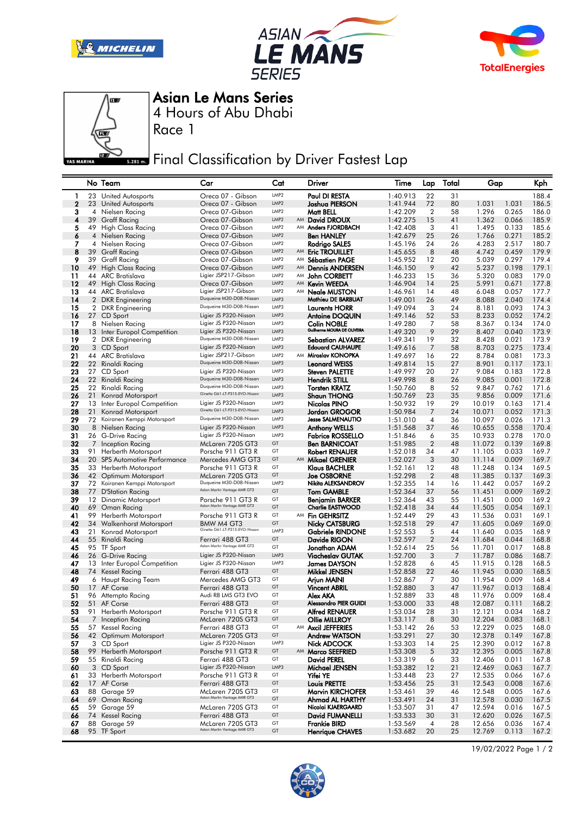







Asian Le Mans Series

4 Hours of Abu Dhabi

Race 1

## **Final Classification by Driver Fastest Lap**

|          |          | No Team                                                | Car                                                       | Cat                                  |    | Driver                                 | Time                 | Lap                  | Total    | Gap              |                | Kph            |
|----------|----------|--------------------------------------------------------|-----------------------------------------------------------|--------------------------------------|----|----------------------------------------|----------------------|----------------------|----------|------------------|----------------|----------------|
| 1        | 23       | <b>United Autosports</b>                               | Oreca 07 - Gibson                                         | LMP <sub>2</sub>                     |    | Paul DI RESTA                          | 1:40.913             | 22                   | 31       |                  |                | 188.4          |
| 2        |          | 23 United Autosports                                   | Oreca 07 - Gibson                                         | LMP <sub>2</sub>                     |    | <b>Joshua PIERSON</b>                  | 1:41.944             | 72                   | 80       | 1.031            | 1.031          | 186.5          |
| З        | 4        | Nielsen Racing                                         | Oreca 07-Gibson                                           | LMP <sub>2</sub>                     |    | Matt BELL                              | 1:42.209             | $\overline{2}$       | 58       | 1.296            | 0.265          | 186.0          |
| 4        |          | 39 Graff Racing                                        | Oreca 07-Gibson                                           | LMP <sub>2</sub>                     |    | AM David DROUX                         | 1:42.275             | 15                   | 41       | 1.362            | 0.066          | 185.9          |
| 5        |          | 49 High Class Racing                                   | Oreca 07-Gibson                                           | LMP <sub>2</sub>                     |    | AM Anders FJORDBACH                    | 1:42.408             | 3                    | 41       | 1.495            | 0.133          | 185.6          |
| 6        | 4        | Nielsen Racing<br>4 Nielsen Racing                     | Oreca 07-Gibson<br>Oreca 07-Gibson                        | LMP <sub>2</sub><br>LMP <sub>2</sub> |    | Ben HANLEY                             | 1:42.679             | 25<br>24             | 26<br>26 | 1.766<br>4.283   | 0.271<br>2.517 | 185.2<br>180.7 |
| 7<br>8   |          | 39 Graff Racing                                        | Oreca 07-Gibson                                           | LMP <sub>2</sub>                     | AM | Rodrigo SALES<br><b>Eric TROUILLET</b> | 1:45.196<br>1:45.655 | 8                    | 48       | 4.742            | 0.459          | 179.9          |
| 9        | 39       | Graff Racing                                           | Oreca 07-Gibson                                           | LMP <sub>2</sub>                     |    | AM Sébastien PAGE                      | 1:45.952             | 12                   | 20       | 5.039            | 0.297          | 179.4          |
| 10       | 49       | High Class Racing                                      | Oreca 07-Gibson                                           | LMP <sub>2</sub>                     | AM | <b>Dennis ANDERSEN</b>                 | 1:46.150             | 9                    | 42       | 5.237            | 0.198          | 179.1          |
| 11       | 44       | ARC Bratislava                                         | Ligier JSP217-Gibson                                      | LMP <sub>2</sub>                     |    | AM John CORBETT                        | 1:46.233             | 15                   | 36       | 5.320            | 0.083          | 179.0          |
| 12       |          | 49 High Class Racing                                   | Oreca 07-Gibson                                           | LMP <sub>2</sub>                     |    | AM Kevin WEEDA                         | 1:46.904             | 14                   | 25       | 5.991            | 0.671          | 177.8          |
| 13       |          | 44 ARC Bratislava                                      | Ligier JSP217-Gibson                                      | LMP <sub>2</sub>                     | AM | Neale MUSTON                           | 1:46.961             | 14                   | 48       | 6.048            | 0.057          | 177.7          |
| 14       |          | 2 DKR Engineering                                      | Duqueine M30-D08-Nissan                                   | LMP3                                 |    | Mathieu DE BARBUAT                     | 1:49.001             | 26                   | 49       | 8.088            | 2.040          | 174.4          |
| 15       |          | 2 DKR Engineering                                      | Duqueine M30-D08-Nissan<br>Ligier JS P320-Nissan          | LMP3                                 |    | <b>Laurents HORR</b>                   | 1:49.094             | 3                    | 24       | 8.181            | 0.093          | 174.3          |
| 16<br>17 |          | 27 CD Sport<br>8 Nielsen Racing                        | Ligier JS P320-Nissan                                     | LMP3<br>LMP3                         |    | <b>Antoine DOQUIN</b><br>Colin NOBLE   | 1:49.146<br>1:49.280 | 52<br>7              | 53<br>58 | 8.233<br>8.367   | 0.052<br>0.134 | 174.2<br>174.0 |
| 18       |          | 13 Inter Europol Competition                           | Ligier JS P320-Nissan                                     | LMP3                                 |    | Guilherme MOURA DE OLIVEIRA            | 1:49.320             | 9                    | 29       | 8.407            | 0.040          | 173.9          |
| 19       |          | 2 DKR Engineering                                      | Duqueine M30-D08-Nissan                                   | LMP3                                 |    | Sebastian ALVAREZ                      | 1:49.341             | 19                   | 32       | 8.428            | 0.021          | 173.9          |
| 20       |          | 3 CD Sport                                             | Ligier JS P320-Nissan                                     | LMP3                                 |    | <b>Edouard CAUHAUPE</b>                | 1:49.616             | 7                    | 58       | 8.703            | 0.275          | 173.4          |
| 21       |          | 44 ARC Bratislava                                      | Ligier JSP217-Gibson                                      | LMP <sub>2</sub>                     |    | AM Miroslav KONOPKA                    | 1:49.697             | 16                   | 22       | 8.784            | 0.081          | 173.3          |
| 22       |          | 22 Rinaldi Racing                                      | Duqueine M30-D08-Nissan                                   | LMP3                                 |    | <b>Leonard WEISS</b>                   | 1:49.814             | 15                   | 27       | 8.901            | 0.117          | 173.1          |
| 23       |          | 27 CD Sport                                            | Ligier JS P320-Nissan                                     | LMP3                                 |    | <b>Steven PALETTE</b>                  | 1:49.997             | 20                   | 27       | 9.084            | 0.183          | 172.8          |
| 24       | 22       | Rinaldi Racing                                         | Duqueine M30-D08-Nissan                                   | LMP3                                 |    | <b>Hendrik STILL</b>                   | 1:49.998             | 8                    | 26       | 9.085            | 0.001          | 172.8          |
| 25       | 22       | Rinaldi Racing                                         | Duqueine M30-D08-Nissan<br>Ginetta G61-LT-P315-EVO-Nissan | LMP3<br>LMP3                         |    | <b>Torsten KRATZ</b>                   | 1:50.760             | 8                    | 52       | 9.847            | 0.762          | 171.6          |
| 26<br>27 | 21<br>13 | Konrad Motorsport<br>Inter Europol Competition         | Ligier JS P320-Nissan                                     | LMP3                                 |    | <b>Shaun THONG</b><br>Nicolas PINO     | 1:50.769<br>1:50.932 | 23<br>19             | 35<br>29 | 9.856<br>10.019  | 0.009<br>0.163 | 171.6<br>171.4 |
| 28       | 21       | Konrad Motorsport                                      | Ginetta G61-LT-P315-EVO-Nissan                            | LMP3                                 |    | Jordan GROGOR                          | 1:50.984             | 7                    | 24       | 10.071           | 0.052          | 171.3          |
| 29       | 72       | Koiranen Kemppi Motorsport                             | Duqueine M30-D08-Nissan                                   | LMP3                                 |    | <b>Jesse SALMENAUTIO</b>               | 1:51.010             | 4                    | 36       | 10.097           | 0.026          | 171.3          |
| 30       | 8        | Nielsen Racing                                         | Ligier JS P320-Nissan                                     | LMP3                                 |    | <b>Anthony WELLS</b>                   | 1:51.568             | 37                   | 46       | 10.655           | 0.558          | 170.4          |
| 31       |          | 26 G-Drive Racing                                      | Ligier JS P320-Nissan                                     | LMP3                                 |    | <b>Fabrice ROSSELLO</b>                | 1:51.846             | 6                    | 35       | 10.933           | 0.278          | 170.0          |
| 32       |          | 7 Inception Racing                                     | McLaren 720S GT3                                          | GT                                   |    | <b>Ben BARNICOAT</b>                   | 1:51.985             | $\overline{2}$       | 48       | 11.072           | 0.139          | 169.8          |
| 33       | 91       | Herberth Motorsport                                    | Porsche 911 GT3 R                                         | GT                                   |    | Robert RENAUER                         | 1:52.018             | 34                   | 47       | 11.105           | 0.033          | 169.7          |
| 34       |          | 20 SPS Automotive Performance                          | Mercedes AMG GT3                                          | GT                                   |    | AM Mikael GRENIER                      | 1:52.027             | 3                    | 30       | 11.114           | 0.009          | 169.7          |
| 35<br>36 |          | 33 Herberth Motorsport                                 | Porsche 911 GT3 R<br>McLaren 720S GT3                     | GT<br>GT                             |    | Klaus BACHLER                          | 1:52.161             | 12<br>$\overline{2}$ | 48<br>48 | 11.248<br>11.385 | 0.134<br>0.137 | 169.5<br>169.3 |
| 37       |          | 42 Optimum Motorsport<br>72 Koiranen Kemppi Motorsport | Duqueine M30-D08-Nissan                                   | LMP3                                 |    | Joe OSBORNE<br>Nikita ALEKSANDROV      | 1:52.298<br>1:52.355 | 14                   | 16       | 11.442           | 0.057          | 169.2          |
| 38       | 77       | D'Station Racing                                       | Aston Martin Vantage AMR GT3                              | GT                                   |    | <b>Tom GAMBLE</b>                      | 1:52.364             | 37                   | 56       | 11.451           | 0.009          | 169.2          |
| 39       |          | 12 Dinamic Motorsport                                  | Porsche 911 GT3 R                                         | GT                                   |    | <b>Benjamin BARKER</b>                 | 1:52.364             | 43                   | 55       | 11.451           | 0.000          | 169.2          |
| 40       | 69       | Oman Racing                                            | Aston Martin Vantage AMR GT3                              | GT                                   |    | <b>Charlie EASTWOOD</b>                | 1:52.418             | 34                   | 44       | 11.505           | 0.054          | 169.1          |
| 41       | 99       | Herberth Motorsport                                    | Porsche 911 GT3 R                                         | GT                                   |    | AM Fin GEHRSITZ                        | 1:52.449             | 29                   | 43       | 11.536           | 0.031          | 169.1          |
| 42       |          | 34 Walkenhorst Motorsport                              | BMW M4 GT3<br>Ginetta G61-LT-P315-EVO-Nissan              | GT                                   |    | <b>Nicky CATSBURG</b>                  | 1:52.518             | 29                   | 47       | 11.605           | 0.069          | 169.0          |
| 43       | 21       | Konrad Motorsport                                      |                                                           | LMP3                                 |    | <b>Gabriele RINDONE</b>                | 1:52.553             | 5                    | 44       | 11.640           | 0.035          | 168.9          |
| 44<br>45 | 55       | Rinaldi Racing                                         | Ferrari 488 GT3<br>Aston Martin Vantage AMR GT3           | GT<br>GT                             |    | Davide RIGON<br>Jonathan ADAM          | 1:52.597<br>1:52.614 | $\overline{2}$<br>25 | 24<br>56 | 11.684<br>11.701 | 0.044<br>0.017 | 168.8<br>168.8 |
| 46       |          | 95 TF Sport<br>26 G-Drive Racing                       | Ligier JS P320-Nissan                                     | LMP3                                 |    | <b>Viacheslav GUTAK</b>                | 1:52.700             | 3                    | 7        | 11.787           | 0.086          | 168.7          |
| 47       |          | 13 Inter Europol Competition                           | Ligier JS P320-Nissan                                     | LMP3                                 |    | <b>James DAYSON</b>                    | 1:52.828             | 6                    | 45       | 11.915           | 0.128          | 168.5          |
| 48       | 74       | Kessel Racing                                          | Ferrari 488 GT3                                           | GT                                   |    | Mikkel JENSEN                          | 1:52.858             | 22                   | 46       | 11.945           | 0.030          | 168.5          |
| 49       |          | 6 Haupt Racing Team                                    | Mercedes AMG GT3                                          | GT                                   |    | Arjun MAINI                            | 1:52.867             | 7                    | 30       | 11.954           | 0.009          | 168.4          |
| 50       |          | 17 AF Corse                                            | Ferrari 488 GT3                                           | GT                                   |    | <b>Vincent ABRIL</b>                   | 1:52.880             | 3                    | 47       | 11.967           | 0.013          | 168.4          |
| 51       |          | 96 Attempto Racing                                     | Audi R8 LMS GT3 EVO                                       | GT                                   |    | Alex AKA                               | 1:52.889             | 33                   | 48       | 11.976           | 0.009          | 168.4          |
| 52       |          | 51 AF Corse                                            | Ferrari 488 GT3                                           | GT                                   |    | Alessandro PIER GUIDI                  | 1:53.000             | 33                   | 48       | 12.087           | 0.111          | 168.2          |
| 53<br>54 |          | 91 Herberth Motorsport<br>7 Inception Racing           | Porsche 911 GT3 R<br>McLaren 720S GT3                     | GT<br>GT                             |    | <b>Alfred RENAUER</b><br>Ollie MILLROY | 1:53.034<br>1:53.117 | 28<br>8              | 31<br>30 | 12.121<br>12.204 | 0.034<br>0.083 | 168.2<br>168.1 |
| 55       |          | 57 Kessel Racing                                       | Ferrari 488 GT3                                           | GT                                   |    | AM Axcil JEFFERIES                     | 1:53.142             | 26                   | 53       | 12.229           | 0.025          | 168.0          |
| 56       |          | 42 Optimum Motorsport                                  | McLaren 720S GT3                                          | GT                                   |    | <b>Andrew WATSON</b>                   | 1:53.291             | 27                   | 30       | 12.378           | 0.149          | 167.8          |
| 57       |          | 3 CD Sport                                             | Ligier JS P320-Nissan                                     | LMP3                                 |    | Nick ADCOCK                            | 1:53.303             | 14                   | 25       | 12.390           | 0.012          | 167.8          |
| 58       |          | 99 Herberth Motorsport                                 | Porsche 911 GT3 R                                         | GT                                   |    | AM Marco SEEFRIED                      | 1:53.308             | 5                    | 32       | 12.395           | 0.005          | 167.8          |
| 59       |          | 55 Rinaldi Racing                                      | Ferrari 488 GT3                                           | GT                                   |    | <b>David PEREL</b>                     | 1:53.319             | 6                    | 33       | 12.406           | 0.011          | 167.8          |
| 60       |          | 3 CD Sport                                             | Ligier JS P320-Nissan                                     | LMP3                                 |    | Michael JENSEN                         | 1:53.382             | 12                   | 21       | 12.469           | 0.063          | 167.7          |
| 61       |          | 33 Herberth Motorsport                                 | Porsche 911 GT3 R                                         | GT                                   |    | Yifei YE                               | 1:53.448             | 23                   | 27       | 12.535           | 0.066          | 167.6          |
| 62       | 17       | AF Corse<br>88 Garage 59                               | Ferrari 488 GT3                                           | GT<br>GT                             |    | <b>Louis PRETTE</b>                    | 1:53.456             | 25                   | 31       | 12.543           | 0.008          | 167.6          |
| 63<br>64 |          | 69 Oman Racing                                         | McLaren 720S GT3<br>Aston Martin Vantage AMR GT3          | GT                                   |    | Marvin KIRCHOFER<br>Ahmad AL HARTHY    | 1:53.461<br>1:53.491 | 39<br>24             | 46<br>31 | 12.548<br>12.578 | 0.005<br>0.030 | 167.6<br>167.5 |
| 65       | 59       | Garage 59                                              | McLaren 720S GT3                                          | GT                                   |    | Nicolai KJAERGAARD                     | 1:53.507             | 31                   | 47       | 12.594           | 0.016          | 167.5          |
| 66       |          | 74 Kessel Racing                                       | Ferrari 488 GT3                                           | GT                                   |    | David FUMANELLI                        | 1:53.533             | 30                   | 31       | 12.620           | 0.026          | 167.5          |
| 67       |          | 88 Garage 59                                           | McLaren 720S GT3                                          | GT                                   |    | <b>Frankie BIRD</b>                    | 1:53.569             | 4                    | 28       | 12.656           | 0.036          | 167.4          |
| 68       |          | 95 TF Sport                                            | Aston Martin Vantage AMR GT3                              | GT                                   |    | <b>Henrique CHAVES</b>                 | 1:53.682             | 20                   | 25       | 12.769           | 0.113          | 167.2          |